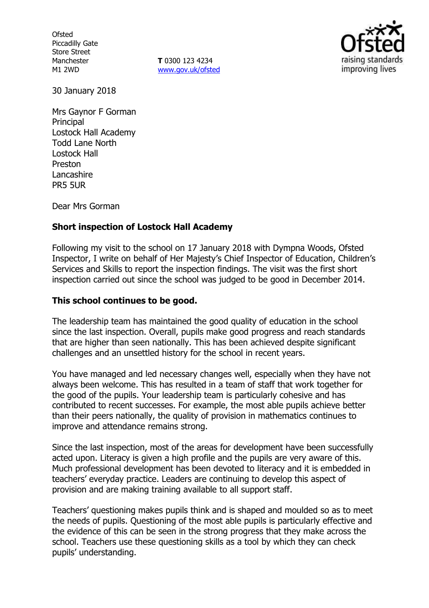**Ofsted** Piccadilly Gate Store Street Manchester M1 2WD

**T** 0300 123 4234 www.gov.uk/ofsted



30 January 2018

Mrs Gaynor F Gorman **Principal** Lostock Hall Academy Todd Lane North Lostock Hall Preston Lancashire PR5 5UR

Dear Mrs Gorman

## **Short inspection of Lostock Hall Academy**

Following my visit to the school on 17 January 2018 with Dympna Woods, Ofsted Inspector, I write on behalf of Her Majesty's Chief Inspector of Education, Children's Services and Skills to report the inspection findings. The visit was the first short inspection carried out since the school was judged to be good in December 2014.

#### **This school continues to be good.**

The leadership team has maintained the good quality of education in the school since the last inspection. Overall, pupils make good progress and reach standards that are higher than seen nationally. This has been achieved despite significant challenges and an unsettled history for the school in recent years.

You have managed and led necessary changes well, especially when they have not always been welcome. This has resulted in a team of staff that work together for the good of the pupils. Your leadership team is particularly cohesive and has contributed to recent successes. For example, the most able pupils achieve better than their peers nationally, the quality of provision in mathematics continues to improve and attendance remains strong.

Since the last inspection, most of the areas for development have been successfully acted upon. Literacy is given a high profile and the pupils are very aware of this. Much professional development has been devoted to literacy and it is embedded in teachers' everyday practice. Leaders are continuing to develop this aspect of provision and are making training available to all support staff.

Teachers' questioning makes pupils think and is shaped and moulded so as to meet the needs of pupils. Questioning of the most able pupils is particularly effective and the evidence of this can be seen in the strong progress that they make across the school. Teachers use these questioning skills as a tool by which they can check pupils' understanding.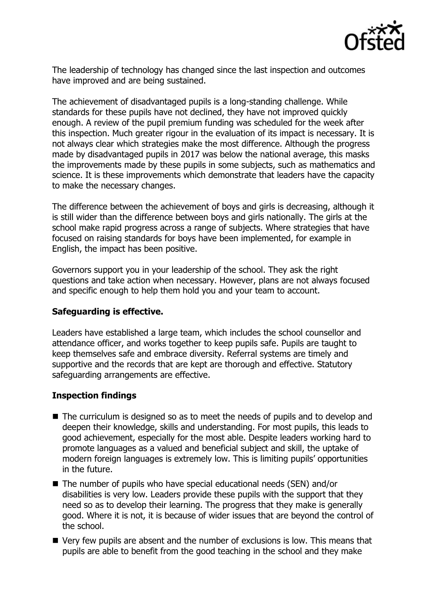

The leadership of technology has changed since the last inspection and outcomes have improved and are being sustained.

The achievement of disadvantaged pupils is a long-standing challenge. While standards for these pupils have not declined, they have not improved quickly enough. A review of the pupil premium funding was scheduled for the week after this inspection. Much greater rigour in the evaluation of its impact is necessary. It is not always clear which strategies make the most difference. Although the progress made by disadvantaged pupils in 2017 was below the national average, this masks the improvements made by these pupils in some subjects, such as mathematics and science. It is these improvements which demonstrate that leaders have the capacity to make the necessary changes.

The difference between the achievement of boys and girls is decreasing, although it is still wider than the difference between boys and girls nationally. The girls at the school make rapid progress across a range of subjects. Where strategies that have focused on raising standards for boys have been implemented, for example in English, the impact has been positive.

Governors support you in your leadership of the school. They ask the right questions and take action when necessary. However, plans are not always focused and specific enough to help them hold you and your team to account.

#### **Safeguarding is effective.**

Leaders have established a large team, which includes the school counsellor and attendance officer, and works together to keep pupils safe. Pupils are taught to keep themselves safe and embrace diversity. Referral systems are timely and supportive and the records that are kept are thorough and effective. Statutory safeguarding arrangements are effective.

## **Inspection findings**

- The curriculum is designed so as to meet the needs of pupils and to develop and deepen their knowledge, skills and understanding. For most pupils, this leads to good achievement, especially for the most able. Despite leaders working hard to promote languages as a valued and beneficial subject and skill, the uptake of modern foreign languages is extremely low. This is limiting pupils' opportunities in the future.
- The number of pupils who have special educational needs (SEN) and/or disabilities is very low. Leaders provide these pupils with the support that they need so as to develop their learning. The progress that they make is generally good. Where it is not, it is because of wider issues that are beyond the control of the school.
- Very few pupils are absent and the number of exclusions is low. This means that pupils are able to benefit from the good teaching in the school and they make